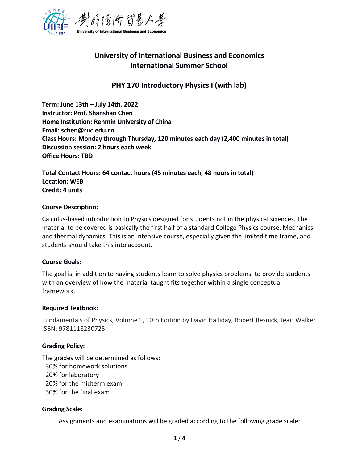

# **University of International Business and Economics International Summer School**

## **PHY 170 Introductory Physics I (with lab)**

**Term: June 13th –July 14th, 2022 Instructor: Prof. Shanshan Chen Home Institution: Renmin University of China Email: schen@ruc.edu.cn Class Hours: Monday through Thursday, 120 minutes each day (2,400 minutes in total) Discussion session: 2 hours each week Office Hours: TBD**

**Total Contact Hours: 64 contact hours (45 minutes each, 48 hours in total) Location: WEB Credit: 4 units**

#### **Course Description:**

Calculus-based introduction to Physics designed for students not in the physical sciences. The material to be covered is basically the first half of a standard College Physics course, Mechanics and thermal dynamics. This is an intensive course, especially given the limited time frame, and students should take this into account.

#### **Course Goals:**

The goal is, in addition to having students learn to solve physics problems, to provide students with an overview of how the material taught fits together within a single conceptual framework.

#### **Required Textbook:**

Fundamentals of Physics, Volume 1, 10th Edition by David Halliday, Robert Resnick, Jearl Walker ISBN: 9781118230725

### **Grading Policy:**

The grades will be determined as follows: 30% for homework solutions 20% for laboratory 20% for the midterm exam 30% for the final exam

### **Grading Scale:**

Assignments and examinations will be graded according to the following grade scale: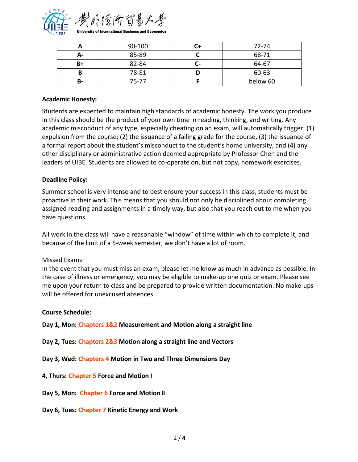

| n  | 90-100 |    | 72-74    |
|----|--------|----|----------|
| А- | 85-89  |    | 68-71    |
| B+ | 82-84  | u- | 64-67    |
|    | 78-81  |    | 60-63    |
| B- | 75-77  |    | below 60 |

### **Academic Honesty:**

Students are expected to maintain high standards of academic honesty. The work you produce in this class should be the product of your own time in reading, thinking, and writing. Any academic misconduct of any type, especially cheating on an exam, will automatically trigger: (1) expulsion from the course; (2) the issuance of a failing grade for the course, (3) the issuance of a formal report about the student's misconduct to the student's home university, and (4) any other disciplinary or administrative action deemed appropriate by Professor Chen and the leaders of UIBE. Students are allowed to co-operate on, butnot copy, homework exercises.

### **Deadline Policy:**

Summer school is very intense and to best ensure your success in this class, students must be proactive in their work. This means that you should not only be disciplined about completing assigned reading and assignments in a timely way, but also that you reach out to me when you have questions.

All work in the class will have a reasonable "window" of time within which to complete it, and because of the limit of a 5-week semester, we don't have a lot of room.

### Missed Exams:

In the event that you must miss an exam, please let me know as much in advance as possible. In the case of illness or emergency, you may be eligible to make-up one quiz or exam. Please see me upon your return to class and be prepared to provide written documentation. No make-ups will be offered for unexcused absences.

### **Course Schedule:**

**Day 1, Mon: Chapters 1&2 Measurement and Motion along a straight line**

**Day 2, Tues: Chapters 2&3 Motion along a straight line and Vectors**

**Day 3, Wed: Chapters 4 Motion in Two and Three Dimensions Day**

### **4, Thurs: Chapter 5 Force and Motion I**

**Day 5, Mon: Chapter 6 Force and Motion II**

**Day 6, Tues: Chapter 7 Kinetic Energy and Work**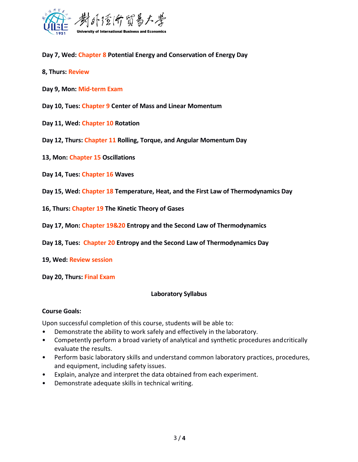

**Day 7, Wed: Chapter 8 Potential Energy and Conservation of Energy Day**

- **8, Thurs: Review**
- **Day 9, Mon: Mid-term Exam**
- **Day 10, Tues: Chapter 9 Center of Mass and Linear Momentum**
- **Day 11, Wed: Chapter 10 Rotation**
- **Day** 12, Thurs: Chapter 11 Rolling, Torque, and Angular Momentum Day
- **13, Mon: Chapter 15 Oscillations**
- **Day 14, Tues: Chapter 16 Waves**
- **Day 15, Wed: Chapter 18 Temperature, Heat, and the FirstLaw of Thermodynamics Day**
- **16, Thurs: Chapter 19 The Kinetic Theory of Gases**
- **Day 17, Mon: Chapter 19&20 Entropy and the Second Law of Thermodynamics**
- **Day 18, Tues: Chapter 20 Entropy and the Second Law of Thermodynamics Day**
- **19, Wed: Review session**
- **Day 20, Thurs: Final Exam**

#### **Laboratory Syllabus**

#### **Course Goals:**

Upon successful completion of this course, students will be able to:

- Demonstrate the ability to work safely and effectively in the laboratory.
- Competently perform a broad variety of analytical and synthetic procedures andcritically evaluate the results.
- Perform basic laboratory skills and understand common laboratory practices, procedures, and equipment, including safety issues.
- Explain, analyze and interpret the data obtained from each experiment.
- Demonstrate adequate skills in technical writing.